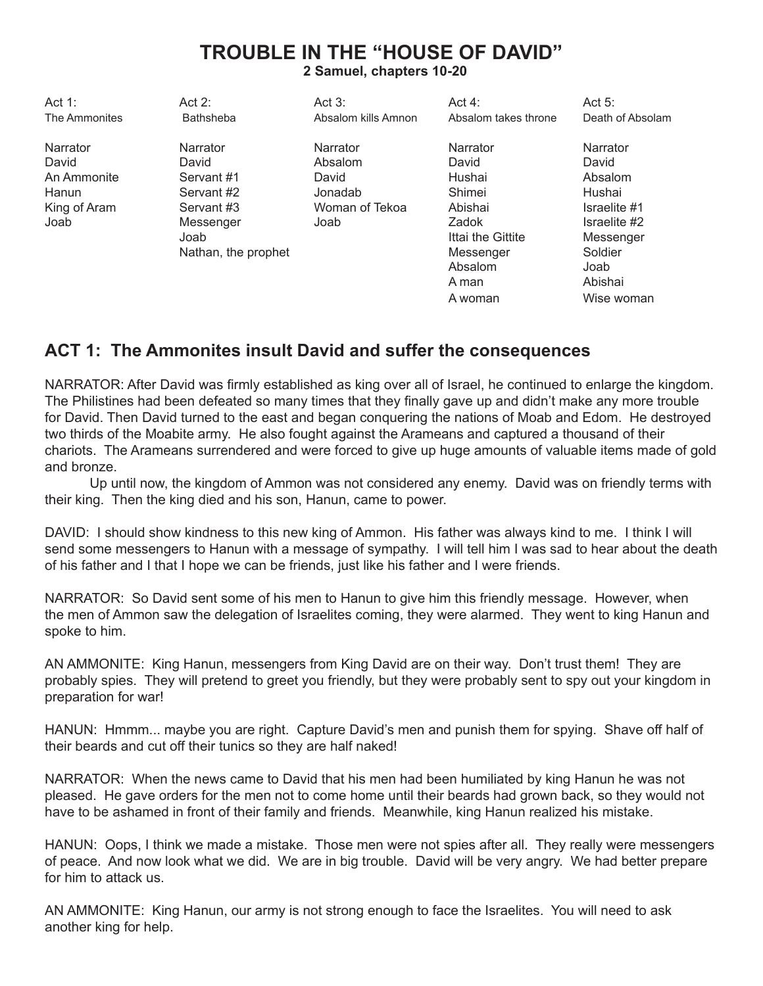# **TROUBLE IN THE "HOUSE OF DAVID" 2 Samuel, chapters 10-20**

Act 1: Act 2: Act 3: Act 3: Act 4: Act 5: The Ammonites **Bathsheba** Absalom kills Amnon Absalom takes throne Death of Absolam Narrator Narrator Narrator Narrator Narrator David David Absalom David David An Ammonite Servant #1 David Hushai Hushai Absalom Hanun Servant #2 Jonadab Shimei Hushai King of Aram Servant #3 Woman of Tekoa Abishai Israelite #1 Joab Messenger Joab Zadok Israelite #2 Joab **Ittai the Gittite** Messenger Nathan, the prophet **Messenger** Soldier Absalom Joab A man Abishai A woman Wise woman

## **ACT 1: The Ammonites insult David and suffer the consequences**

NARRATOR: After David was firmly established as king over all of Israel, he continued to enlarge the kingdom. The Philistines had been defeated so many times that they finally gave up and didn't make any more trouble for David. Then David turned to the east and began conquering the nations of Moab and Edom. He destroyed two thirds of the Moabite army. He also fought against the Arameans and captured a thousand of their chariots. The Arameans surrendered and were forced to give up huge amounts of valuable items made of gold and bronze.

Up until now, the kingdom of Ammon was not considered any enemy. David was on friendly terms with their king. Then the king died and his son, Hanun, came to power.

DAVID: I should show kindness to this new king of Ammon. His father was always kind to me. I think I will send some messengers to Hanun with a message of sympathy. I will tell him I was sad to hear about the death of his father and I that I hope we can be friends, just like his father and I were friends.

NARRATOR: So David sent some of his men to Hanun to give him this friendly message. However, when the men of Ammon saw the delegation of Israelites coming, they were alarmed. They went to king Hanun and spoke to him.

AN AMMONITE: King Hanun, messengers from King David are on their way. Don't trust them! They are probably spies. They will pretend to greet you friendly, but they were probably sent to spy out your kingdom in preparation for war!

HANUN: Hmmm... maybe you are right. Capture David's men and punish them for spying. Shave off half of their beards and cut off their tunics so they are half naked!

NARRATOR: When the news came to David that his men had been humiliated by king Hanun he was not pleased. He gave orders for the men not to come home until their beards had grown back, so they would not have to be ashamed in front of their family and friends. Meanwhile, king Hanun realized his mistake.

HANUN: Oops, I think we made a mistake. Those men were not spies after all. They really were messengers of peace. And now look what we did. We are in big trouble. David will be very angry. We had better prepare for him to attack us.

AN AMMONITE: King Hanun, our army is not strong enough to face the Israelites. You will need to ask another king for help.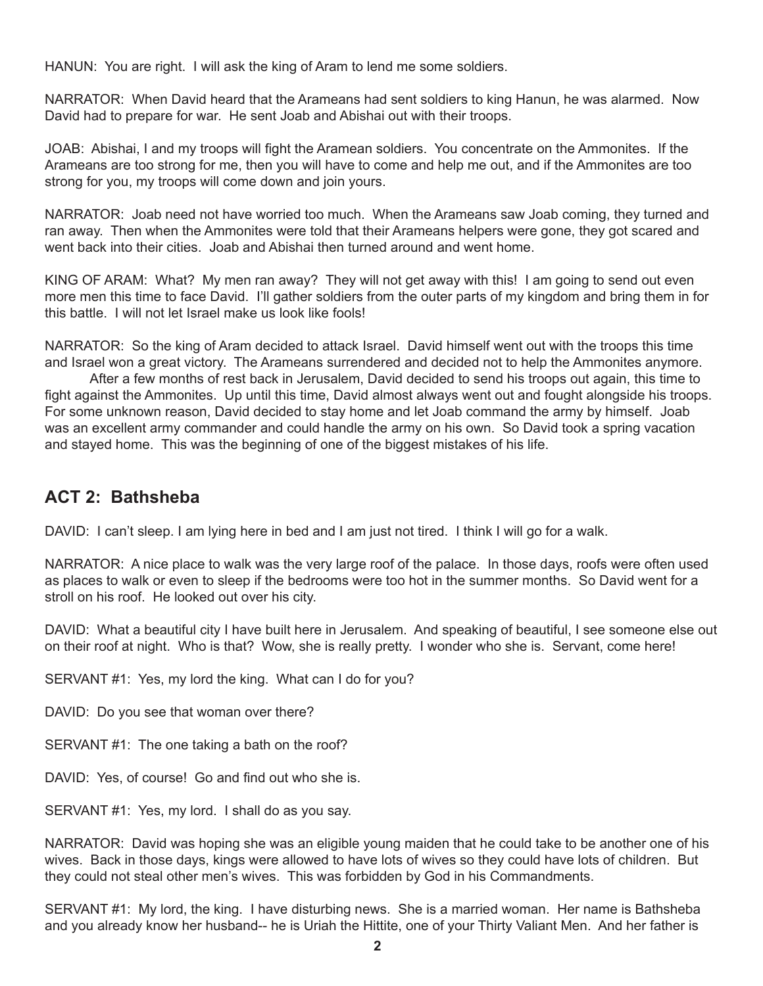HANUN: You are right. I will ask the king of Aram to lend me some soldiers.

NARRATOR: When David heard that the Arameans had sent soldiers to king Hanun, he was alarmed. Now David had to prepare for war. He sent Joab and Abishai out with their troops.

JOAB: Abishai, I and my troops will fight the Aramean soldiers. You concentrate on the Ammonites. If the Arameans are too strong for me, then you will have to come and help me out, and if the Ammonites are too strong for you, my troops will come down and join yours.

NARRATOR: Joab need not have worried too much. When the Arameans saw Joab coming, they turned and ran away. Then when the Ammonites were told that their Arameans helpers were gone, they got scared and went back into their cities. Joab and Abishai then turned around and went home.

KING OF ARAM: What? My men ran away? They will not get away with this! I am going to send out even more men this time to face David. I'll gather soldiers from the outer parts of my kingdom and bring them in for this battle. I will not let Israel make us look like fools!

NARRATOR: So the king of Aram decided to attack Israel. David himself went out with the troops this time and Israel won a great victory. The Arameans surrendered and decided not to help the Ammonites anymore.

After a few months of rest back in Jerusalem, David decided to send his troops out again, this time to fight against the Ammonites. Up until this time, David almost always went out and fought alongside his troops. For some unknown reason, David decided to stay home and let Joab command the army by himself. Joab was an excellent army commander and could handle the army on his own. So David took a spring vacation and stayed home. This was the beginning of one of the biggest mistakes of his life.

### **ACT 2: Bathsheba**

DAVID: I can't sleep. I am lying here in bed and I am just not tired. I think I will go for a walk.

NARRATOR: A nice place to walk was the very large roof of the palace. In those days, roofs were often used as places to walk or even to sleep if the bedrooms were too hot in the summer months. So David went for a stroll on his roof. He looked out over his city.

DAVID: What a beautiful city I have built here in Jerusalem. And speaking of beautiful, I see someone else out on their roof at night. Who is that? Wow, she is really pretty. I wonder who she is. Servant, come here!

SERVANT #1: Yes, my lord the king. What can I do for you?

DAVID: Do you see that woman over there?

SERVANT #1: The one taking a bath on the roof?

DAVID: Yes, of course! Go and find out who she is.

SERVANT #1: Yes, my lord. I shall do as you say.

NARRATOR: David was hoping she was an eligible young maiden that he could take to be another one of his wives. Back in those days, kings were allowed to have lots of wives so they could have lots of children. But they could not steal other men's wives. This was forbidden by God in his Commandments.

SERVANT #1: My lord, the king. I have disturbing news. She is a married woman. Her name is Bathsheba and you already know her husband-- he is Uriah the Hittite, one of your Thirty Valiant Men. And her father is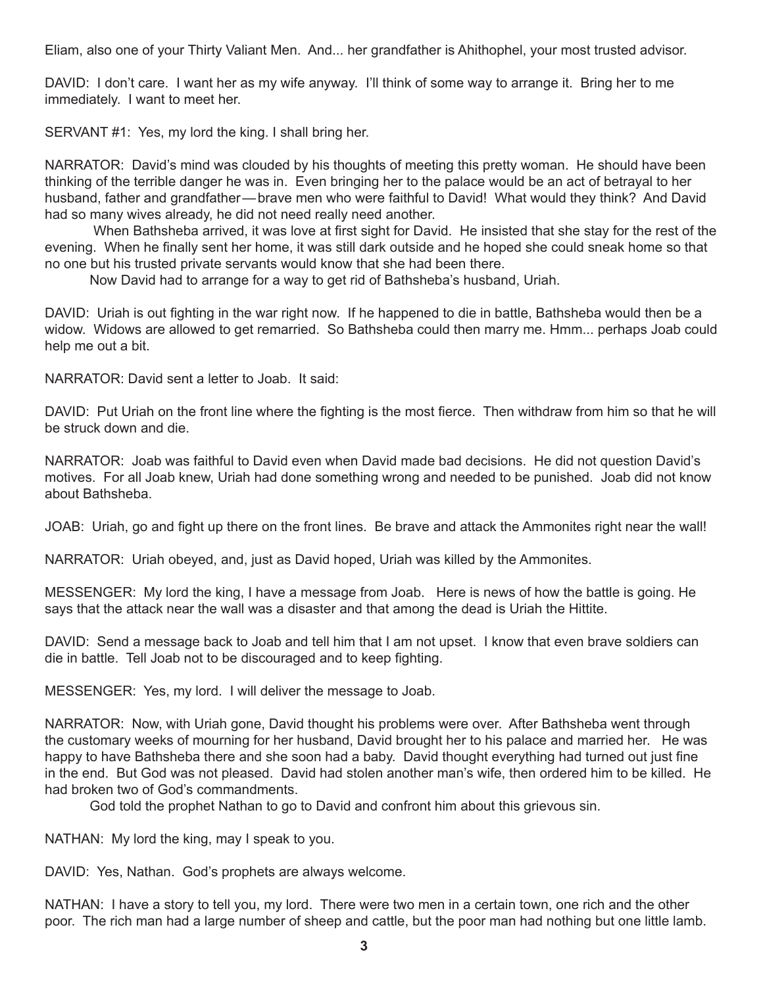Eliam, also one of your Thirty Valiant Men. And... her grandfather is Ahithophel, your most trusted advisor.

DAVID: I don't care. I want her as my wife anyway. I'll think of some way to arrange it. Bring her to me immediately. I want to meet her.

SERVANT #1: Yes, my lord the king. I shall bring her.

NARRATOR: David's mind was clouded by his thoughts of meeting this pretty woman. He should have been thinking of the terrible danger he was in. Even bringing her to the palace would be an act of betrayal to her husband, father and grandfather—brave men who were faithful to David! What would they think? And David had so many wives already, he did not need really need another.

 When Bathsheba arrived, it was love at first sight for David. He insisted that she stay for the rest of the evening. When he finally sent her home, it was still dark outside and he hoped she could sneak home so that no one but his trusted private servants would know that she had been there.

Now David had to arrange for a way to get rid of Bathsheba's husband, Uriah.

DAVID: Uriah is out fighting in the war right now. If he happened to die in battle, Bathsheba would then be a widow. Widows are allowed to get remarried. So Bathsheba could then marry me. Hmm... perhaps Joab could help me out a bit.

NARRATOR: David sent a letter to Joab. It said:

DAVID: Put Uriah on the front line where the fighting is the most fierce. Then withdraw from him so that he will be struck down and die.

NARRATOR: Joab was faithful to David even when David made bad decisions. He did not question David's motives. For all Joab knew, Uriah had done something wrong and needed to be punished. Joab did not know about Bathsheba.

JOAB: Uriah, go and fight up there on the front lines. Be brave and attack the Ammonites right near the wall!

NARRATOR: Uriah obeyed, and, just as David hoped, Uriah was killed by the Ammonites.

MESSENGER: My lord the king, I have a message from Joab. Here is news of how the battle is going. He says that the attack near the wall was a disaster and that among the dead is Uriah the Hittite.

DAVID: Send a message back to Joab and tell him that I am not upset. I know that even brave soldiers can die in battle. Tell Joab not to be discouraged and to keep fighting.

MESSENGER: Yes, my lord. I will deliver the message to Joab.

NARRATOR: Now, with Uriah gone, David thought his problems were over. After Bathsheba went through the customary weeks of mourning for her husband, David brought her to his palace and married her. He was happy to have Bathsheba there and she soon had a baby. David thought everything had turned out just fine in the end. But God was not pleased. David had stolen another man's wife, then ordered him to be killed. He had broken two of God's commandments.

God told the prophet Nathan to go to David and confront him about this grievous sin.

NATHAN: My lord the king, may I speak to you.

DAVID: Yes, Nathan. God's prophets are always welcome.

NATHAN: I have a story to tell you, my lord. There were two men in a certain town, one rich and the other poor. The rich man had a large number of sheep and cattle, but the poor man had nothing but one little lamb.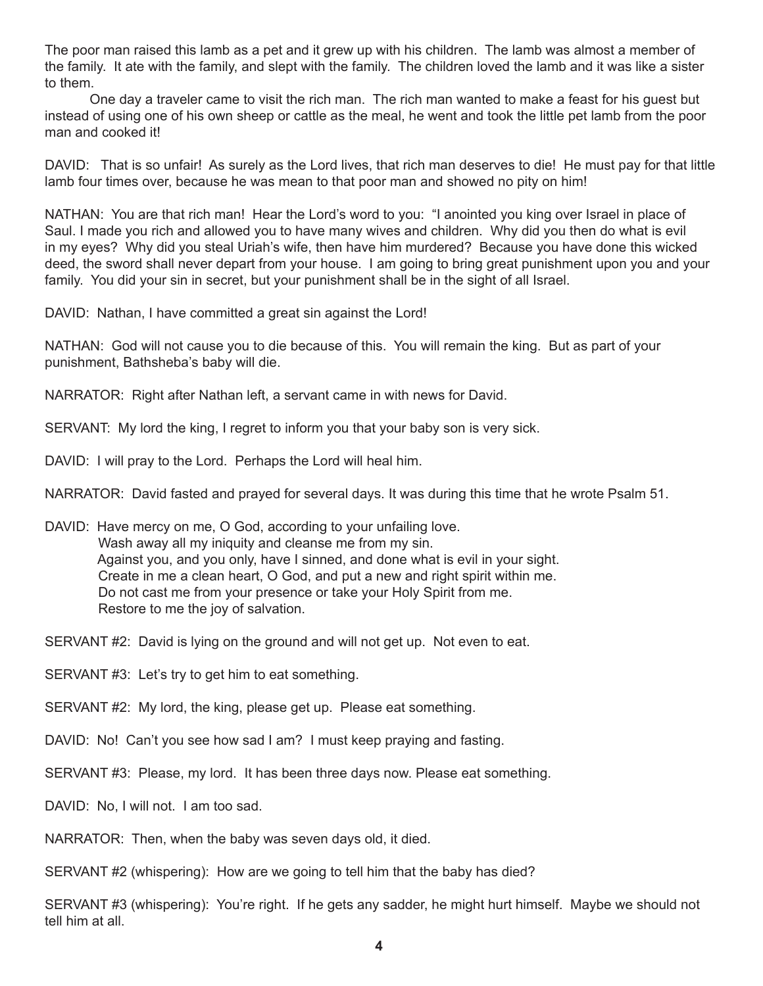The poor man raised this lamb as a pet and it grew up with his children. The lamb was almost a member of the family. It ate with the family, and slept with the family. The children loved the lamb and it was like a sister to them.

One day a traveler came to visit the rich man. The rich man wanted to make a feast for his guest but instead of using one of his own sheep or cattle as the meal, he went and took the little pet lamb from the poor man and cooked it!

DAVID: That is so unfair! As surely as the Lord lives, that rich man deserves to die! He must pay for that little lamb four times over, because he was mean to that poor man and showed no pity on him!

NATHAN: You are that rich man! Hear the Lord's word to you: "I anointed you king over Israel in place of Saul. I made you rich and allowed you to have many wives and children. Why did you then do what is evil in my eyes? Why did you steal Uriah's wife, then have him murdered? Because you have done this wicked deed, the sword shall never depart from your house. I am going to bring great punishment upon you and your family. You did your sin in secret, but your punishment shall be in the sight of all Israel.

DAVID: Nathan, I have committed a great sin against the Lord!

NATHAN: God will not cause you to die because of this. You will remain the king. But as part of your punishment, Bathsheba's baby will die.

NARRATOR: Right after Nathan left, a servant came in with news for David.

SERVANT: My lord the king, I regret to inform you that your baby son is very sick.

DAVID: I will pray to the Lord. Perhaps the Lord will heal him.

NARRATOR: David fasted and prayed for several days. It was during this time that he wrote Psalm 51.

DAVID: Have mercy on me, O God, according to your unfailing love. Wash away all my iniquity and cleanse me from my sin. Against you, and you only, have I sinned, and done what is evil in your sight. Create in me a clean heart, O God, and put a new and right spirit within me. Do not cast me from your presence or take your Holy Spirit from me. Restore to me the joy of salvation.

SERVANT #2: David is lying on the ground and will not get up. Not even to eat.

SERVANT #3: Let's try to get him to eat something.

SERVANT #2: My lord, the king, please get up. Please eat something.

DAVID: No! Can't you see how sad I am? I must keep praying and fasting.

SERVANT #3: Please, my lord. It has been three days now. Please eat something.

DAVID: No, I will not. I am too sad.

NARRATOR: Then, when the baby was seven days old, it died.

SERVANT #2 (whispering): How are we going to tell him that the baby has died?

SERVANT #3 (whispering): You're right. If he gets any sadder, he might hurt himself. Maybe we should not tell him at all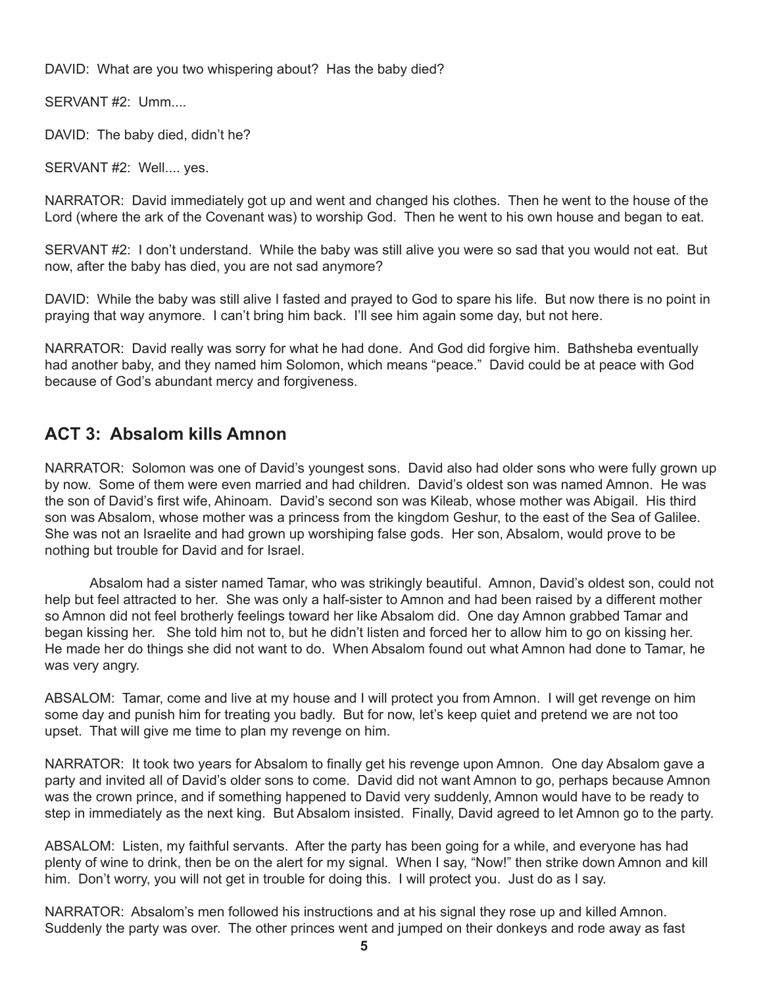DAVID: What are you two whispering about? Has the baby died?

SERVANT #2: Umm....

DAVID: The baby died, didn't he?

SERVANT #2: Well.... yes.

NARRATOR: David immediately got up and went and changed his clothes. Then he went to the house of the Lord (where the ark of the Covenant was) to worship God. Then he went to his own house and began to eat.

SERVANT #2: I don't understand. While the baby was still alive you were so sad that you would not eat. But now, after the baby has died, you are not sad anymore?

DAVID: While the baby was still alive I fasted and prayed to God to spare his life. But now there is no point in praying that way anymore. I can't bring him back. I'll see him again some day, but not here.

NARRATOR: David really was sorry for what he had done. And God did forgive him. Bathsheba eventually had another baby, and they named him Solomon, which means "peace." David could be at peace with God because of God's abundant mercy and forgiveness.

#### **ACT 3: Absalom kills Amnon**

NARRATOR: Solomon was one of David's youngest sons. David also had older sons who were fully grown up by now. Some of them were even married and had children. David's oldest son was named Amnon. He was the son of David's first wife, Ahinoam. David's second son was Kileab, whose mother was Abigail. His third son was Absalom, whose mother was a princess from the kingdom Geshur, to the east of the Sea of Galilee. She was not an Israelite and had grown up worshiping false gods. Her son, Absalom, would prove to be nothing but trouble for David and for Israel.

Absalom had a sister named Tamar, who was strikingly beautiful. Amnon, David's oldest son, could not help but feel attracted to her. She was only a half-sister to Amnon and had been raised by a different mother so Amnon did not feel brotherly feelings toward her like Absalom did. One day Amnon grabbed Tamar and began kissing her. She told him not to, but he didn't listen and forced her to allow him to go on kissing her. He made her do things she did not want to do. When Absalom found out what Amnon had done to Tamar, he was very angry.

ABSALOM: Tamar, come and live at my house and I will protect you from Amnon. I will get revenge on him some day and punish him for treating you badly. But for now, let's keep quiet and pretend we are not too upset. That will give me time to plan my revenge on him.

NARRATOR: It took two years for Absalom to finally get his revenge upon Amnon. One day Absalom gave a party and invited all of David's older sons to come. David did not want Amnon to go, perhaps because Amnon was the crown prince, and if something happened to David very suddenly, Amnon would have to be ready to step in immediately as the next king. But Absalom insisted. Finally, David agreed to let Amnon go to the party.

ABSALOM: Listen, my faithful servants. After the party has been going for a while, and everyone has had plenty of wine to drink, then be on the alert for my signal. When I say, "Now!" then strike down Amnon and kill him. Don't worry, you will not get in trouble for doing this. I will protect you. Just do as I say.

NARRATOR: Absalom's men followed his instructions and at his signal they rose up and killed Amnon. Suddenly the party was over. The other princes went and jumped on their donkeys and rode away as fast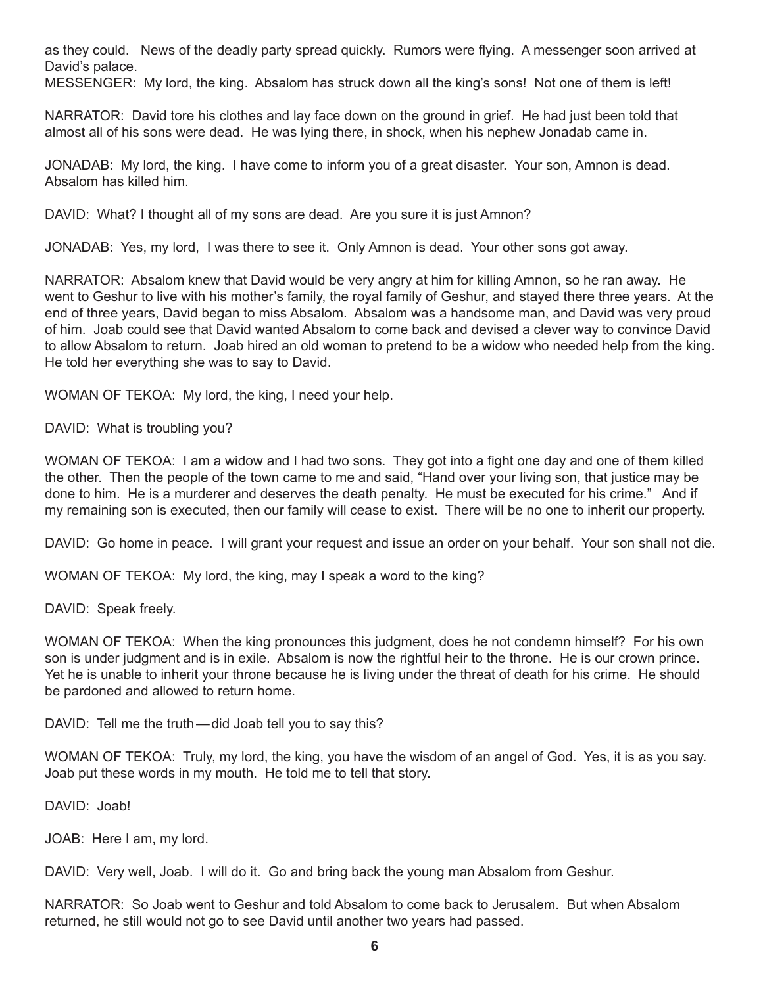as they could. News of the deadly party spread quickly. Rumors were flying. A messenger soon arrived at David's palace.

MESSENGER: My lord, the king. Absalom has struck down all the king's sons! Not one of them is left!

NARRATOR: David tore his clothes and lay face down on the ground in grief. He had just been told that almost all of his sons were dead. He was lying there, in shock, when his nephew Jonadab came in.

JONADAB: My lord, the king. I have come to inform you of a great disaster. Your son, Amnon is dead. Absalom has killed him.

DAVID: What? I thought all of my sons are dead. Are you sure it is just Amnon?

JONADAB: Yes, my lord, I was there to see it. Only Amnon is dead. Your other sons got away.

NARRATOR: Absalom knew that David would be very angry at him for killing Amnon, so he ran away. He went to Geshur to live with his mother's family, the royal family of Geshur, and stayed there three years. At the end of three years, David began to miss Absalom. Absalom was a handsome man, and David was very proud of him. Joab could see that David wanted Absalom to come back and devised a clever way to convince David to allow Absalom to return. Joab hired an old woman to pretend to be a widow who needed help from the king. He told her everything she was to say to David.

WOMAN OF TEKOA: My lord, the king, I need your help.

DAVID: What is troubling you?

WOMAN OF TEKOA: I am a widow and I had two sons. They got into a fight one day and one of them killed the other. Then the people of the town came to me and said, "Hand over your living son, that justice may be done to him. He is a murderer and deserves the death penalty. He must be executed for his crime." And if my remaining son is executed, then our family will cease to exist. There will be no one to inherit our property.

DAVID: Go home in peace. I will grant your request and issue an order on your behalf. Your son shall not die.

WOMAN OF TEKOA: My lord, the king, may I speak a word to the king?

DAVID: Speak freely.

WOMAN OF TEKOA: When the king pronounces this judgment, does he not condemn himself? For his own son is under judgment and is in exile. Absalom is now the rightful heir to the throne. He is our crown prince. Yet he is unable to inherit your throne because he is living under the threat of death for his crime. He should be pardoned and allowed to return home.

DAVID: Tell me the truth—did Joab tell you to say this?

WOMAN OF TEKOA: Truly, my lord, the king, you have the wisdom of an angel of God. Yes, it is as you say. Joab put these words in my mouth. He told me to tell that story.

DAVID: Joab!

JOAB: Here I am, my lord.

DAVID: Very well, Joab. I will do it. Go and bring back the young man Absalom from Geshur.

NARRATOR: So Joab went to Geshur and told Absalom to come back to Jerusalem. But when Absalom returned, he still would not go to see David until another two years had passed.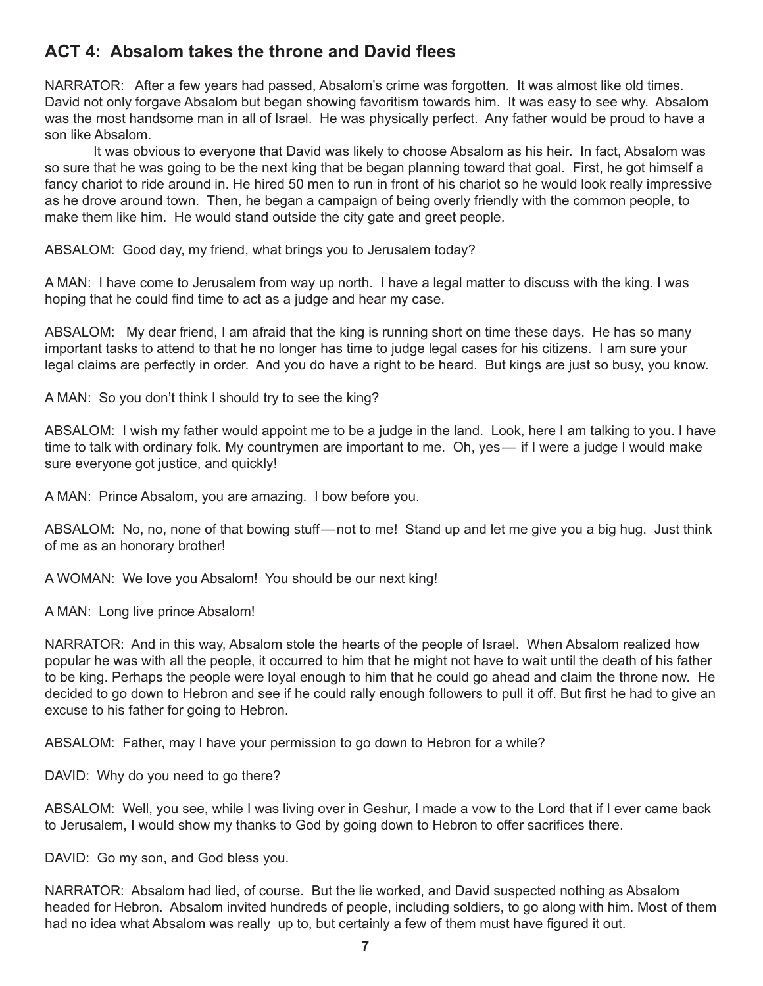#### **ACT 4: Absalom takes the throne and David flees**

NARRATOR: After a few years had passed, Absalom's crime was forgotten. It was almost like old times. David not only forgave Absalom but began showing favoritism towards him. It was easy to see why. Absalom was the most handsome man in all of Israel. He was physically perfect. Any father would be proud to have a son like Absalom.

 It was obvious to everyone that David was likely to choose Absalom as his heir. In fact, Absalom was so sure that he was going to be the next king that be began planning toward that goal. First, he got himself a fancy chariot to ride around in. He hired 50 men to run in front of his chariot so he would look really impressive as he drove around town. Then, he began a campaign of being overly friendly with the common people, to make them like him. He would stand outside the city gate and greet people.

ABSALOM: Good day, my friend, what brings you to Jerusalem today?

A MAN: I have come to Jerusalem from way up north. I have a legal matter to discuss with the king. I was hoping that he could find time to act as a judge and hear my case.

ABSALOM: My dear friend, I am afraid that the king is running short on time these days. He has so many important tasks to attend to that he no longer has time to judge legal cases for his citizens. I am sure your legal claims are perfectly in order. And you do have a right to be heard. But kings are just so busy, you know.

A MAN: So you don't think I should try to see the king?

ABSALOM: I wish my father would appoint me to be a judge in the land. Look, here I am talking to you. I have time to talk with ordinary folk. My countrymen are important to me. Oh, yes— if I were a judge I would make sure everyone got justice, and quickly!

A MAN: Prince Absalom, you are amazing. I bow before you.

ABSALOM: No, no, none of that bowing stuff—not to me! Stand up and let me give you a big hug. Just think of me as an honorary brother!

A WOMAN: We love you Absalom! You should be our next king!

A MAN: Long live prince Absalom!

NARRATOR: And in this way, Absalom stole the hearts of the people of Israel. When Absalom realized how popular he was with all the people, it occurred to him that he might not have to wait until the death of his father to be king. Perhaps the people were loyal enough to him that he could go ahead and claim the throne now. He decided to go down to Hebron and see if he could rally enough followers to pull it off. But first he had to give an excuse to his father for going to Hebron.

ABSALOM: Father, may I have your permission to go down to Hebron for a while?

DAVID: Why do you need to go there?

ABSALOM: Well, you see, while I was living over in Geshur, I made a vow to the Lord that if I ever came back to Jerusalem, I would show my thanks to God by going down to Hebron to offer sacrifices there.

DAVID: Go my son, and God bless you.

NARRATOR: Absalom had lied, of course. But the lie worked, and David suspected nothing as Absalom headed for Hebron. Absalom invited hundreds of people, including soldiers, to go along with him. Most of them had no idea what Absalom was really up to, but certainly a few of them must have figured it out.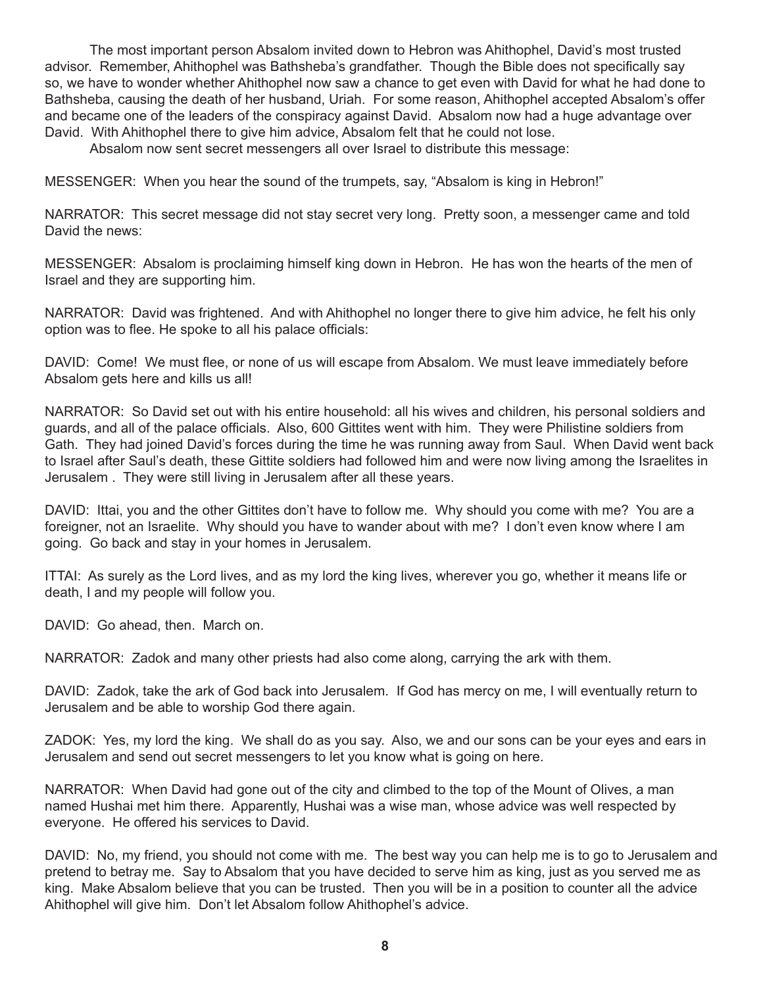The most important person Absalom invited down to Hebron was Ahithophel, David's most trusted advisor. Remember, Ahithophel was Bathsheba's grandfather. Though the Bible does not specifically say so, we have to wonder whether Ahithophel now saw a chance to get even with David for what he had done to Bathsheba, causing the death of her husband, Uriah. For some reason, Ahithophel accepted Absalom's offer and became one of the leaders of the conspiracy against David. Absalom now had a huge advantage over David. With Ahithophel there to give him advice, Absalom felt that he could not lose.

Absalom now sent secret messengers all over Israel to distribute this message:

MESSENGER: When you hear the sound of the trumpets, say, "Absalom is king in Hebron!"

NARRATOR: This secret message did not stay secret very long. Pretty soon, a messenger came and told David the news:

MESSENGER: Absalom is proclaiming himself king down in Hebron. He has won the hearts of the men of Israel and they are supporting him.

NARRATOR: David was frightened. And with Ahithophel no longer there to give him advice, he felt his only option was to flee. He spoke to all his palace officials:

DAVID: Come! We must flee, or none of us will escape from Absalom. We must leave immediately before Absalom gets here and kills us all!

NARRATOR: So David set out with his entire household: all his wives and children, his personal soldiers and guards, and all of the palace officials. Also, 600 Gittites went with him. They were Philistine soldiers from Gath. They had joined David's forces during the time he was running away from Saul. When David went back to Israel after Saul's death, these Gittite soldiers had followed him and were now living among the Israelites in Jerusalem . They were still living in Jerusalem after all these years.

DAVID: Ittai, you and the other Gittites don't have to follow me. Why should you come with me? You are a foreigner, not an Israelite. Why should you have to wander about with me? I don't even know where I am going. Go back and stay in your homes in Jerusalem.

ITTAI: As surely as the Lord lives, and as my lord the king lives, wherever you go, whether it means life or death, I and my people will follow you.

DAVID: Go ahead, then. March on.

NARRATOR: Zadok and many other priests had also come along, carrying the ark with them.

DAVID: Zadok, take the ark of God back into Jerusalem. If God has mercy on me, I will eventually return to Jerusalem and be able to worship God there again.

ZADOK: Yes, my lord the king. We shall do as you say. Also, we and our sons can be your eyes and ears in Jerusalem and send out secret messengers to let you know what is going on here.

NARRATOR: When David had gone out of the city and climbed to the top of the Mount of Olives, a man named Hushai met him there. Apparently, Hushai was a wise man, whose advice was well respected by everyone. He offered his services to David.

DAVID: No, my friend, you should not come with me. The best way you can help me is to go to Jerusalem and pretend to betray me. Say to Absalom that you have decided to serve him as king, just as you served me as king. Make Absalom believe that you can be trusted. Then you will be in a position to counter all the advice Ahithophel will give him. Don't let Absalom follow Ahithophel's advice.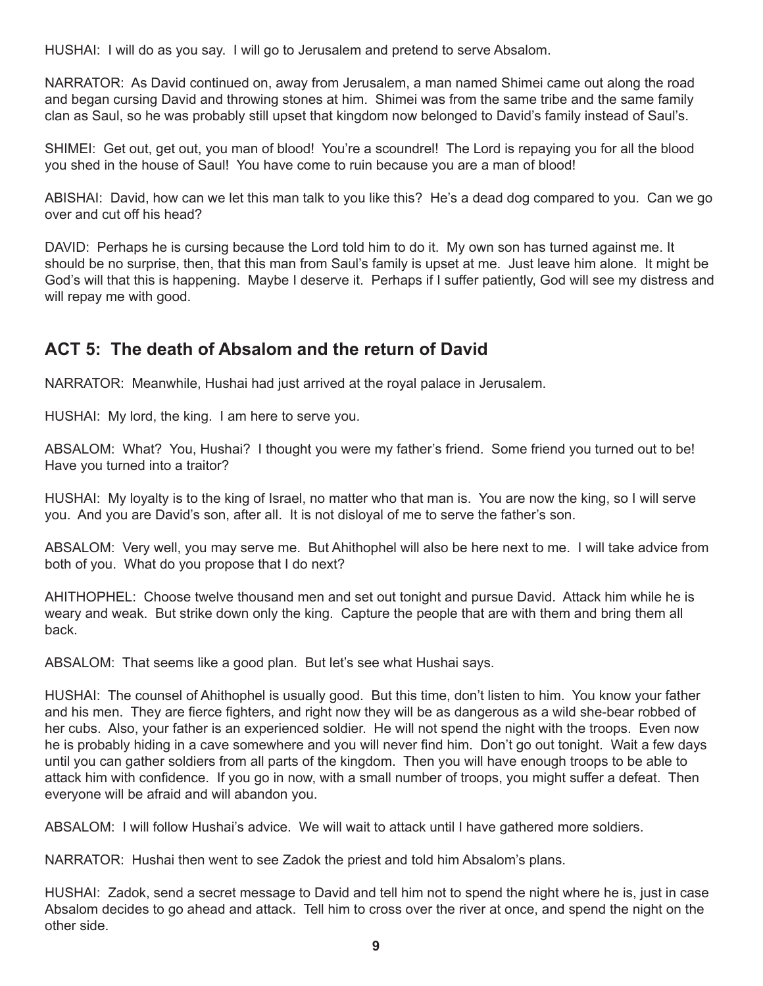HUSHAI: I will do as you say. I will go to Jerusalem and pretend to serve Absalom.

NARRATOR: As David continued on, away from Jerusalem, a man named Shimei came out along the road and began cursing David and throwing stones at him. Shimei was from the same tribe and the same family clan as Saul, so he was probably still upset that kingdom now belonged to David's family instead of Saul's.

SHIMEI: Get out, get out, you man of blood! You're a scoundrel! The Lord is repaying you for all the blood you shed in the house of Saul! You have come to ruin because you are a man of blood!

ABISHAI: David, how can we let this man talk to you like this? He's a dead dog compared to you. Can we go over and cut off his head?

DAVID: Perhaps he is cursing because the Lord told him to do it. My own son has turned against me. It should be no surprise, then, that this man from Saul's family is upset at me. Just leave him alone. It might be God's will that this is happening. Maybe I deserve it. Perhaps if I suffer patiently, God will see my distress and will repay me with good.

#### **ACT 5: The death of Absalom and the return of David**

NARRATOR: Meanwhile, Hushai had just arrived at the royal palace in Jerusalem.

HUSHAI: My lord, the king. I am here to serve you.

ABSALOM: What? You, Hushai? I thought you were my father's friend. Some friend you turned out to be! Have you turned into a traitor?

HUSHAI: My loyalty is to the king of Israel, no matter who that man is. You are now the king, so I will serve you. And you are David's son, after all. It is not disloyal of me to serve the father's son.

ABSALOM: Very well, you may serve me. But Ahithophel will also be here next to me. I will take advice from both of you. What do you propose that I do next?

AHITHOPHEL: Choose twelve thousand men and set out tonight and pursue David. Attack him while he is weary and weak. But strike down only the king. Capture the people that are with them and bring them all back.

ABSALOM: That seems like a good plan. But let's see what Hushai says.

HUSHAI: The counsel of Ahithophel is usually good. But this time, don't listen to him. You know your father and his men. They are fierce fighters, and right now they will be as dangerous as a wild she-bear robbed of her cubs. Also, your father is an experienced soldier. He will not spend the night with the troops. Even now he is probably hiding in a cave somewhere and you will never find him. Don't go out tonight. Wait a few days until you can gather soldiers from all parts of the kingdom. Then you will have enough troops to be able to attack him with confidence. If you go in now, with a small number of troops, you might suffer a defeat. Then everyone will be afraid and will abandon you.

ABSALOM: I will follow Hushai's advice. We will wait to attack until I have gathered more soldiers.

NARRATOR: Hushai then went to see Zadok the priest and told him Absalom's plans.

HUSHAI: Zadok, send a secret message to David and tell him not to spend the night where he is, just in case Absalom decides to go ahead and attack. Tell him to cross over the river at once, and spend the night on the other side.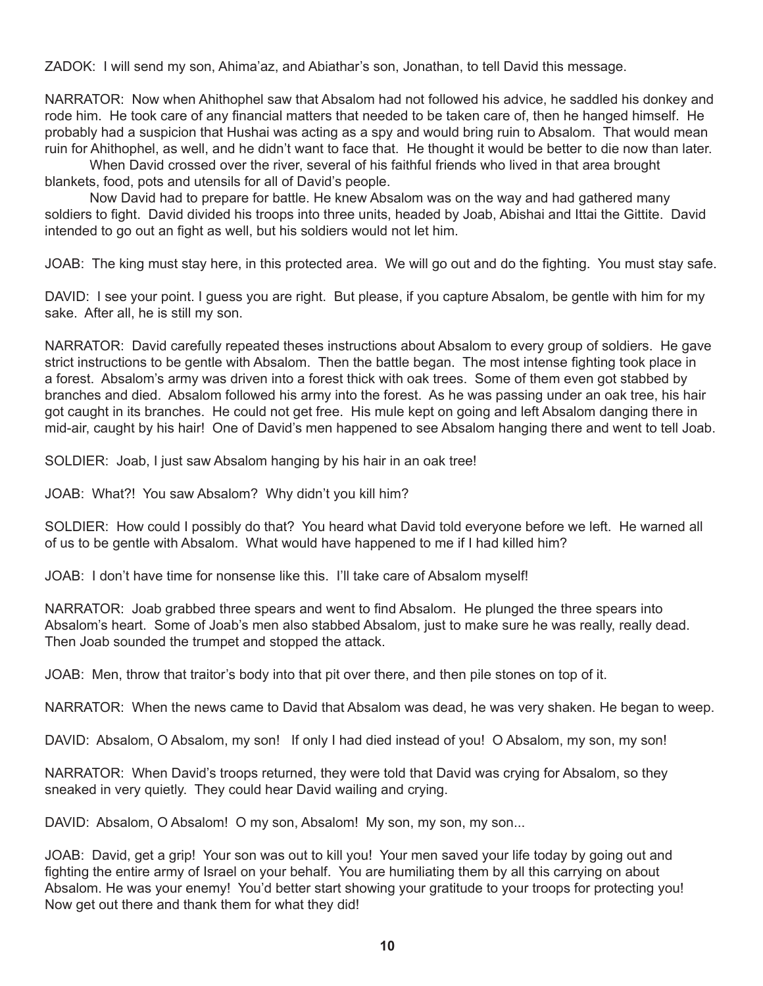ZADOK: I will send my son, Ahima'az, and Abiathar's son, Jonathan, to tell David this message.

NARRATOR: Now when Ahithophel saw that Absalom had not followed his advice, he saddled his donkey and rode him. He took care of any financial matters that needed to be taken care of, then he hanged himself. He probably had a suspicion that Hushai was acting as a spy and would bring ruin to Absalom. That would mean ruin for Ahithophel, as well, and he didn't want to face that. He thought it would be better to die now than later.

When David crossed over the river, several of his faithful friends who lived in that area brought blankets, food, pots and utensils for all of David's people.

Now David had to prepare for battle. He knew Absalom was on the way and had gathered many soldiers to fight. David divided his troops into three units, headed by Joab, Abishai and Ittai the Gittite. David intended to go out an fight as well, but his soldiers would not let him.

JOAB: The king must stay here, in this protected area. We will go out and do the fighting. You must stay safe.

DAVID: I see your point. I guess you are right. But please, if you capture Absalom, be gentle with him for my sake. After all, he is still my son.

NARRATOR: David carefully repeated theses instructions about Absalom to every group of soldiers. He gave strict instructions to be gentle with Absalom. Then the battle began. The most intense fighting took place in a forest. Absalom's army was driven into a forest thick with oak trees. Some of them even got stabbed by branches and died. Absalom followed his army into the forest. As he was passing under an oak tree, his hair got caught in its branches. He could not get free. His mule kept on going and left Absalom danging there in mid-air, caught by his hair! One of David's men happened to see Absalom hanging there and went to tell Joab.

SOLDIER: Joab, I just saw Absalom hanging by his hair in an oak tree!

JOAB: What?! You saw Absalom? Why didn't you kill him?

SOLDIER: How could I possibly do that? You heard what David told everyone before we left. He warned all of us to be gentle with Absalom. What would have happened to me if I had killed him?

JOAB: I don't have time for nonsense like this. I'll take care of Absalom myself!

NARRATOR: Joab grabbed three spears and went to find Absalom. He plunged the three spears into Absalom's heart. Some of Joab's men also stabbed Absalom, just to make sure he was really, really dead. Then Joab sounded the trumpet and stopped the attack.

JOAB: Men, throw that traitor's body into that pit over there, and then pile stones on top of it.

NARRATOR: When the news came to David that Absalom was dead, he was very shaken. He began to weep.

DAVID: Absalom, O Absalom, my son! If only I had died instead of you! O Absalom, my son, my son!

NARRATOR: When David's troops returned, they were told that David was crying for Absalom, so they sneaked in very quietly. They could hear David wailing and crying.

DAVID: Absalom, O Absalom! O my son, Absalom! My son, my son, my son...

JOAB: David, get a grip! Your son was out to kill you! Your men saved your life today by going out and fighting the entire army of Israel on your behalf. You are humiliating them by all this carrying on about Absalom. He was your enemy! You'd better start showing your gratitude to your troops for protecting you! Now get out there and thank them for what they did!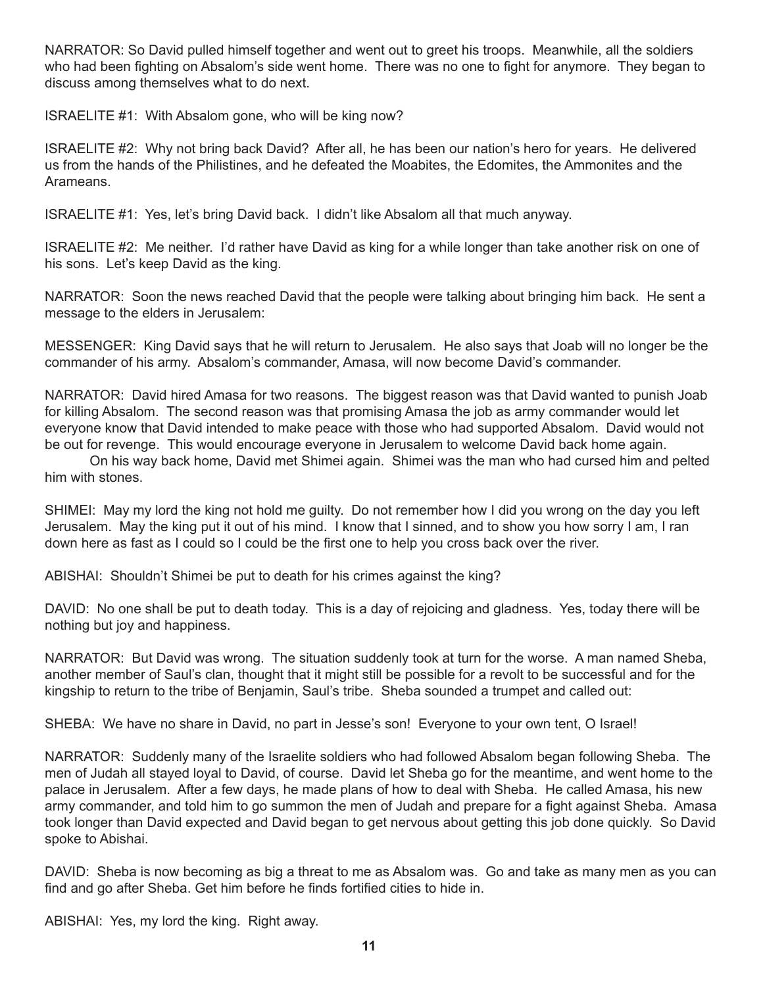NARRATOR: So David pulled himself together and went out to greet his troops. Meanwhile, all the soldiers who had been fighting on Absalom's side went home. There was no one to fight for anymore. They began to discuss among themselves what to do next.

ISRAELITE #1: With Absalom gone, who will be king now?

ISRAELITE #2: Why not bring back David? After all, he has been our nation's hero for years. He delivered us from the hands of the Philistines, and he defeated the Moabites, the Edomites, the Ammonites and the Arameans.

ISRAELITE #1: Yes, let's bring David back. I didn't like Absalom all that much anyway.

ISRAELITE #2: Me neither. I'd rather have David as king for a while longer than take another risk on one of his sons. Let's keep David as the king.

NARRATOR: Soon the news reached David that the people were talking about bringing him back. He sent a message to the elders in Jerusalem:

MESSENGER: King David says that he will return to Jerusalem. He also says that Joab will no longer be the commander of his army. Absalom's commander, Amasa, will now become David's commander.

NARRATOR: David hired Amasa for two reasons. The biggest reason was that David wanted to punish Joab for killing Absalom. The second reason was that promising Amasa the job as army commander would let everyone know that David intended to make peace with those who had supported Absalom. David would not be out for revenge. This would encourage everyone in Jerusalem to welcome David back home again.

On his way back home, David met Shimei again. Shimei was the man who had cursed him and pelted him with stones.

SHIMEI: May my lord the king not hold me guilty. Do not remember how I did you wrong on the day you left Jerusalem. May the king put it out of his mind. I know that I sinned, and to show you how sorry I am, I ran down here as fast as I could so I could be the first one to help you cross back over the river.

ABISHAI: Shouldn't Shimei be put to death for his crimes against the king?

DAVID: No one shall be put to death today. This is a day of rejoicing and gladness. Yes, today there will be nothing but joy and happiness.

NARRATOR: But David was wrong. The situation suddenly took at turn for the worse. A man named Sheba, another member of Saul's clan, thought that it might still be possible for a revolt to be successful and for the kingship to return to the tribe of Benjamin, Saul's tribe. Sheba sounded a trumpet and called out:

SHEBA: We have no share in David, no part in Jesse's son! Everyone to your own tent, O Israel!

NARRATOR: Suddenly many of the Israelite soldiers who had followed Absalom began following Sheba. The men of Judah all stayed loyal to David, of course. David let Sheba go for the meantime, and went home to the palace in Jerusalem. After a few days, he made plans of how to deal with Sheba. He called Amasa, his new army commander, and told him to go summon the men of Judah and prepare for a fight against Sheba. Amasa took longer than David expected and David began to get nervous about getting this job done quickly. So David spoke to Abishai.

DAVID: Sheba is now becoming as big a threat to me as Absalom was. Go and take as many men as you can find and go after Sheba. Get him before he finds fortified cities to hide in.

ABISHAI: Yes, my lord the king. Right away.